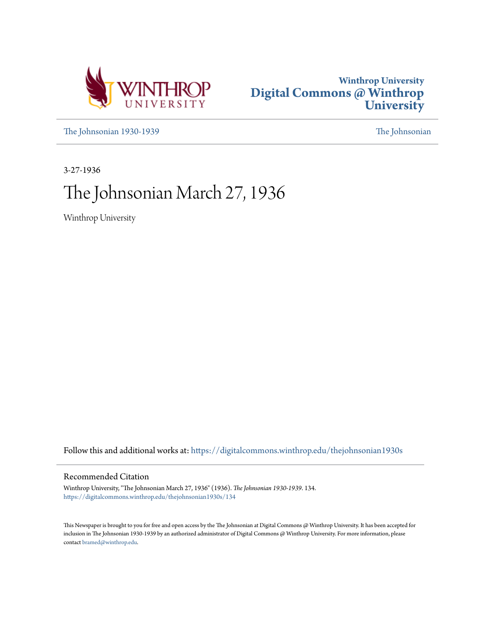



[The Johnsonian 1930-1939](https://digitalcommons.winthrop.edu/thejohnsonian1930s?utm_source=digitalcommons.winthrop.edu%2Fthejohnsonian1930s%2F134&utm_medium=PDF&utm_campaign=PDFCoverPages) [The Johnsonian](https://digitalcommons.winthrop.edu/thejohnsonian_newspaper?utm_source=digitalcommons.winthrop.edu%2Fthejohnsonian1930s%2F134&utm_medium=PDF&utm_campaign=PDFCoverPages)

3-27-1936

# The Johnsonian March 27, 1936

Winthrop University

Follow this and additional works at: [https://digitalcommons.winthrop.edu/thejohnsonian1930s](https://digitalcommons.winthrop.edu/thejohnsonian1930s?utm_source=digitalcommons.winthrop.edu%2Fthejohnsonian1930s%2F134&utm_medium=PDF&utm_campaign=PDFCoverPages)

# Recommended Citation

Winthrop University, "The Johnsonian March 27, 1936" (1936). *The Johnsonian 1930-1939*. 134. [https://digitalcommons.winthrop.edu/thejohnsonian1930s/134](https://digitalcommons.winthrop.edu/thejohnsonian1930s/134?utm_source=digitalcommons.winthrop.edu%2Fthejohnsonian1930s%2F134&utm_medium=PDF&utm_campaign=PDFCoverPages)

This Newspaper is brought to you for free and open access by the The Johnsonian at Digital Commons @ Winthrop University. It has been accepted for inclusion in The Johnsonian 1930-1939 by an authorized administrator of Digital Commons @ Winthrop University. For more information, please contact [bramed@winthrop.edu](mailto:bramed@winthrop.edu).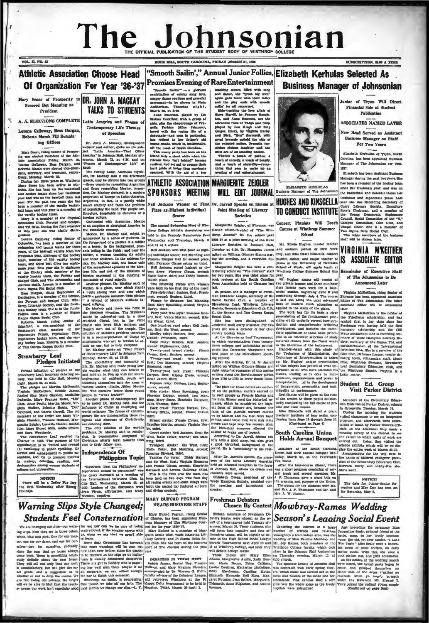# The Johnsonian C OFFICIAL PUBLICATION OF THE STUDENT RODY

**NUTE IT STARFS VARIOUS STATE** 

## "Smooth Sailin'," Annual Junior Follies, Elizabeth Kerhulas Selected As **Athletic Association Choose Head Promises Evening of Rare Entertainment** Of Organization For Year '36-'37 **Business Manager of Johnsonian**

seed Dot Mansing as President

**VOL. 13, NO. 22** 

A. A. ELECTIONS COMPLETE

a Galloway, Bess Dargan Roberta Marsh Fill Remaining Offices

There will be a T lay after By the first Wed

# Mary Sease of Prosperity to DR. JOHN A. MACKAY **TALKS TO STUDENTS**

Latin America and Phases of Contemporary Life Themes of Speeches

Dr. John A. Mickey, distinguished<br>lecturer and author, spoke on the subject "Latin America-That Other<br>America" in Johnson Hall, Monday aft-

are entering norm. In the world's [Strohen facture is the bittering term of the scenario and the world's [Str. Markov, first condit is the bittering in prediction, it is continued to the scenario of the state of the scena ler Pay Day the International Clip Hall, Wednesdater Spring 1:30, Leaders of

# **Warning Slips Style Changed;**

**DELETIED A CERTIFICATION**<br>
We are changing our spin of the second to the second their state of the second term of the second term of the second term with<br>
while, blue and pink. One for our mas- us, when we say that we ar

 $\frac{\text{Sallm}^{\prime\prime\prime}}{\text{m of each}} = \frac{\text{glori} \text{cm}}{\text{mog hita}}$  <br>not eatchy song hits,

"Temoch Sassin" — a powell method of eachly some bulk<br>combination of eachly some bulks. In<br>any matches and granded in the movement of the shown in Nish And<br>intervalses, Therman a party at y Link Manne Zassemon, played by

# ATHLETIC ASSOCIATION MARGUERITE ZEIGLER

Neil Jackson Winner of First Dr. Jarrell Speaks on Sin Joint Meeting of Literary Societies

Marguerite Zeigler, of Flo The unual swammang assess of win-<br>
throp College Athletic Association was elected editor-In-chief of "The Win-<br>
held in the Peabody Gymnasium Pool throp Journal" for the school year<br>
Wednesday and Thursday, March 1t 1938-3 Literary Societies in Johnson Hall.

No the most operation result in the same for the same in the same space and the same space of the same space of the same space of the same space of the same space of the same space of the same space of the same space of t

**MARY BUFORD PEGRAM** Freshman Debaters **HEADS BUSINESS STAFF** 

Kare Entertainment and the same and data with some and data, the "prest ink meaning and factor with this<br>the latter of the "prest ink meaning and the phy erosit with insistic<br>and the phy erosit with insistic latter in the

ELIZABETH KERHULAS WILL EDIT JOURNAL

HUGHES AND KINSCELLA **TO CONDUCT INSTITUTE** 

Concert Pianists Will Teach Course at Winthrop Sur School

'n.

Mr. Edwin Bughes, n

ining and purpo se of the Ur The guests for the occasion were Mr.

and Mrs. J. P. Thomason and Mr. and Mrs. A. W. Huek'e.

# Chosen By Contest Mowbray-Rames Wedding

**Marning Sitps Style Changeas** and the result of the same weaker, the same in the same in the same of the same of the same of the same of the same of the same of the same of the same of the same of the same of the same of

unior of Tyyon Will Direct cial Side of Student Fina Publication

CRIPTION, SLOP A YEAR

**ASSOCIATES NAMED LATER** 

New Head Served as Assistant Business Manager on Staff For Two Years

Elizabeth Kerbulan of Typen Morth Carolina, has been appointed Business  $1007$ 

**Manager during the past two years. Sho** has been a member of the ho since her freshman year, and was on the basketball and baseball teams her he baskstball and baseball cann her herbard<br>technical and sophomory rearn. Lead<br>reachman and sophomory rearn. Lead<br>part are was Recording Secretary of<br>port Chairman, and a member of her Young Demonster Sophomore<br>Council,

# VIRGINIA M'KEITHEN IS ASSOCIATE EDITOR

## ainder of Executive Staff of The Johnsonian to Be<br>Announced Later

Virginia McKeithen, rising Senior of<br>Plorence has been appointed Associate<br>Editor of The Johnsonian. The other<br>associate editor will be announced tter.<br>Virginia McKeithen is the hold

 $m/d$ Verparia Mackettern und tie nochter of the ander of the Priedheim coholarship, and has<br>Prechman year, having held the first simple are prechman year, having held the first<br>Nemmany scholarship and the Olli<br>Wylie scholarship cev, screeny at Eura espany Print, and<br>parliamentarian ef the Eulernstonal parliamentarian ef the Eulernstonal<br>Giee Glub, Debaters League, varally de-<br>battery team, Johannelin saidt, Matter<br>Glub, Winthrop Sextedie, Sirawbe

Student Ed. Group<br>Visit Parker District

of imaginarons, whereas the given at the close the electronic of the Elementary Education of the season to those pupils satisface and the Elementary Education of the seasons.<br>
Miss Kineckie and class lessons. In Greenwill

NOTICE!<br>The date for Junior-Seniur Reception and May Day has been set for Saturday, May 2.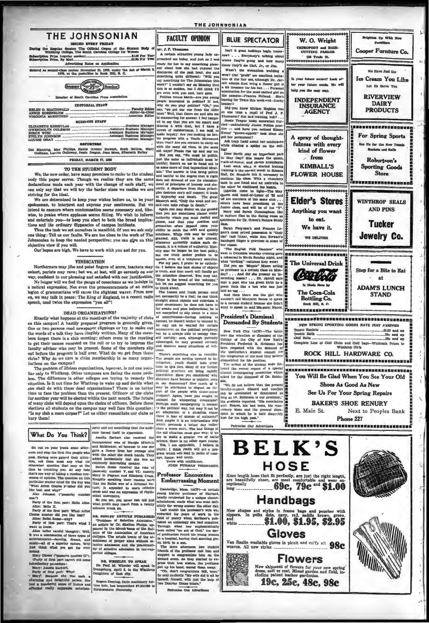## THE JOHNSONIAN

**USUED EVERY FEIDAY**<br>ion The Official Organ of the St<br>e, The South Carolina College for W

\$1.00 Per Year ce (regular<br>ce, By Mai Advertising Rates on Application ered as second-class matter November 21, 1923, under the Act of March 1979, at the postoffice in Rock Hill, S. O.

(Transport)

No onger will we reet the pange of conscience as we induce in a natural expression. Not even the pronouncements of an entire legion of grammarians will cause the slightest waver. From now on, we may talk in peace: The King

## DEAD ORGANIZATIONS?

Exactly what happens at the meetings of the majority of clubs on this campus? A hastily prepared program is generally given.<br>One or two persons read newspaper clippings or try to make out<br>the words of a talk they have illegibly written. Many of the members forget there is a club meeting; others come to the meeting to get their names recorded on the roll or to try to impress the is a factory adviser who may be present. Some of the members all post before the program is half over. What do we get from these clubs? Why do we care to chaim membership in so many organization tions on the campus?<br>The problem of iffeless organizations, however, is not one per izatio

The problem of interess organizations, nawver, is not one incurrently the line of the same problem. The difference is other colleges are trying to remedy the situation. Is it not time for Winthrop to wake up and devide wha for another year will be elected within the next month. The future of many clubs will depend upon the choice of officers. Before the elections all students on the campus may well face this question: "Is my club a mere corpse?" Let us either resuscitate our clubs or hury them!

## ment and not something that the audi-<br>ence forced itself to appreciate. What Do You Think?

**What Do You Think?** external interiments also represents.<br>
interior of the structure of Margia Michael interior and Montgot with the most property in the cause of the property interior and Montgot Michael property in the

 $P_{\rm BH}$ <br>All **ty of the first part: Hells Alice**<br>>e: Hello X. as it<br>Bello X.<br>of the firm or and Mr. That part: What Arthur and Southern did you like best?<br>In number did you like best?<br>In Hallet Russe -why?

: Rallet Russe-why?<br>' of first part: That's what I Alk Party

nt to ke

alles (after careful thought): Well,<br>
k was a combination of three types of<br>
ntertainment-dancing, drama, and<br>
numic-all of a superior nature. Why any Gloven ("passarow number II"),<br>Charly of finit past arms out some<br>introductory provedure.)<br>Mary of firet past arms.<br>Party of firet part: Why?<br>Mary?. Because she was what you got for you

the mass and the was such a

mical biovement,<br>
So you see, you never can tell just<br>
what profit may result from a twenty<br>
minutes trunk sit.

 $\begin{tabular}{|c|c|c|c|} \hline & \multicolumn{1}{c}{\textbf{D.B. FHTC-PS} & \textbf{ABTTCL-B TUDLISTID}} \\ \hline \multicolumn{1}{c}{\textbf{D.B. FHTC-PS} & \textbf{ABTTCL-B TUDLISTID}} \\ \hline \multicolumn{1}{c}{\textbf{an arklole by Dr.} & \textbf{Schelb} \\ \hline \multicolumn{1}{c}{\textbf{an arklole by Dr.} & \textbf{A.} & \textbf{A.} & \textbf{A.} \\ \hline \multicolumn{1}{c}{\textbf{a.} & \textbf{A.} & \textbf{A.}$ 

DR. WHEELER TO SPRAK DE. WHEELER TO STEAK IN ... Paul M. Wheeler will speak in Orangeburg, April 3, to the Winthrop Daughters of that city.

Rogers Deering, farm machinery for-<br>kine heir, has bequeathed \$7,003,000 to<br>Northwestern University.

Mc. J. F. Th A certain attractive young lady proached me today, and just as I was promoted me togay, and just as I was<br>rest meaning pleasers and the compact of the same state and enjoyed the<br>discussion of the past heart, also said the same<br>thing quite different: "Will you say something quite different:

the attention descreed. You may say,<br>"Hope is the bread of the unhappy,"<br>but tet me suggest something for you<br>to think about.

The honest and frank person need

The homest and frame proton need to the form of the formula state<br>and the constanting and the gradient of the gradient and the gradient<br>gradient constant and proton constants are gradient in the function of<br>the first and p he may not be wanted for certain<br>maneuvers on the political periphery,<br>but he is always able to occupy him-<br>self usefully; and, although partially<br>submerged, he may proceed serencly<br>and discover many dituations of wel-

There's something else to co The people are moving upon to consider<br>The people are moving uponed in in-<br>telligence, youth should take great<br>hope in this fast, Many of  $\sigma x$  former<br>political practices are being rapidly<br>discredited. Have you considered political practices are being myddy<br>
clusters and the clusters of the clusters and the distance whose component<br>
distance whose component of the proper component of the proper star<br>
in our demonstrate P How much at it is

## Professor Encounters **Embarrassing Moment**

ridge, Mass. (ACP) Car young history professor of Har<br>locally celebrated for a unique ab sor of Harvard locally declared for a unique sheer<br>that the control of the discrete from the most estimated from the<br>state and what was most deliminated for years of work in the link<br>of an analogory she had complicated properties and th ness, made what was most defi-

Tan't it gr wa beein tom row? . . . Everybody's talking about where they're going and how many Wagn't the womantees wedding

W. O. Wright

CHIROPODY and HAIR-<br>CUTTING PARLOR

138 Trade St.

Is your future secure? Look af-

ter your future needs. We will

**INDEPENDENT** 

**INSURANCE** 

AGENCY

A spray of thought-

fulness with every

kind of flower

KIMBALL'S

**FLOWER HOUSE** 

**Elder's Stores** 

**Anything you want** to eat.

We have it.

WE DELIVER

**The Universal Drink** 

Carter

In Made Here in

The Coca-Cola

**Bottling Co.** 

---------

ok Hill, 6. C.

0003055900555

 $. from$ 

belp you the casy way.

Wan't the womandess wedding a<br>wor? Our "profit" are smellern induced<br>form of the fair sex, although Dr. Jar-<br>rell admits that being a flower girl is an a bit invesore for his feet . . . Personal<br>nomination for the most exc

Did you know Miriam Ho And you know Miriam Hopki.<br>Thomason? Not bad training, but<br>Thomason? Not bad training, but<br>Jestic Teague books somewhat somewhat<br>or Pollis ried---undoubtedly Junior Pollies press<br>
Lice --- and have you noticed Kinsen<br>
Evans' "grown-uppich" look since a<br>
got her permanent?<br>
Ack Lugy Lead about her misforture<br>
while chasing a spider on the cut

Ladd shout her misfe  $l$ 

Does North play an imp maid-of-horor, and eleven relatively which is started to the raining to the  $mid-of-1$ work with a correct word) in<br>ng is the correct word) in<br>Dr. Naudain felt it neces Hall, Dr. sonti book in one hand and an

and other he continued the leasent in Coldisies come to light-The May<br>Queen and maid-of-honor of '35 and<br>'36 are members of the same club<br>staters have been 36 are memors of the aame club...<br>slaters have been presidents of the<br>Junior class, and will be of the "Y".<br>Mary and Sarah Cunningham like<br>to capture files in the dining room as pecimens for Dr. Green's N inss.

Sarah Fersuson's and Frances Le gare's m gare's most priced possession is "their bandaged finger is priceless in so

cannaged finger is priceiess in some of<br>the cannea.<br>"The English Polk Dancers" who<br>went to Columbia Monday evening gave<br>a rehearsal in North Sunday night, and what "striking" softumes<br>Did you see "Mopsie"<br>as replacement mes they wore! Int you see 'Morgate' Moore acting<br>as professor in a certain class on Mon-<br>day?... And did ahe present an in-<br>teresting lemon? ... Dr. Jarroll rays<br>that a poet who has given birth to a<br>poem feels like s hen who has just

poem reem mas s nen who nas just<br>aid an egg ...<br>And then there was the girl who<br>wouldn't call Mangaret Nance to speak  $\frac{10}{10}$  R  $\frac{1}{10}$ in student b want to speak to said Mays

## President's Dismissal **Demanded By Students**

New York City (ACP)ver the retention or dismissed of the College of the City of New York's<br>college of the City of New York's<br>cent Frederick B. Robinson has<br>centrepead with the demand of<br>he institution's student council (are

observed a matter of the manuform of the matter of the matter of the matter of the suddent body following the set of the specific of the set of the set of the set of the set of the set of the set of the matter of the set o

aked for the unmasses we are resent for the present "of the do not believe that the present fractily-suddent doned and conflict as diminimated or diminimated and long as Dr. Robinson is our president," with the studients

,,,,,,,,,,,,,,,,,,,,,,,,,,,,,,,,,,,, NEW SPRING SPORTING GOODS HAVE JUST AWRIVED -31.55 and up<br>--356 and up<br>--356 and up Tennis Rackets . Tennis Balls **Golf Balls** Complete Line of Golf Clubs and Golf bags-Wholesale Prior Winthrom Girls ROCK HILL HARDWARE CO.<br>EXAMBONOSTATIONS INTERNATIONAL EXAMBONOSTATION **BRANGER ENGINEERS AND THE CONTRACT STATES OF THE CONTRACT OF THE CONTRACT OF THE CONTRACT OF THE CONTRACT OF T** You Will Be Glad When You See Your Old Shoes As Good As New See Us For Your Spring Repairs **BAKER'S SHOE RENURY** Next to Peoples Bank E. Main St. Phone 227 

on Up White

Cooper Furnture Co.

We Have Just the

Ice Cream You Like

Let Un Serve You

**RIVERVIEW** 

**DAIRY** 

**PRODUCTS** 

.............. For Spring Sports

Us for the New T

Roburtson's

**Sporting Goods** Store

,,,,,,,,,,,,,,,,,

**WINTHROP SEALS** 

**AND PINS** 

**Tucker** 

Jewelry Co.

Stop for a Bite to Eat

at

**ADAM'S LUNCH** 

**STAND** 

affait her shede

Patronize Our Advertis



# **FACULTY OPINION BLUE SPECTATOR**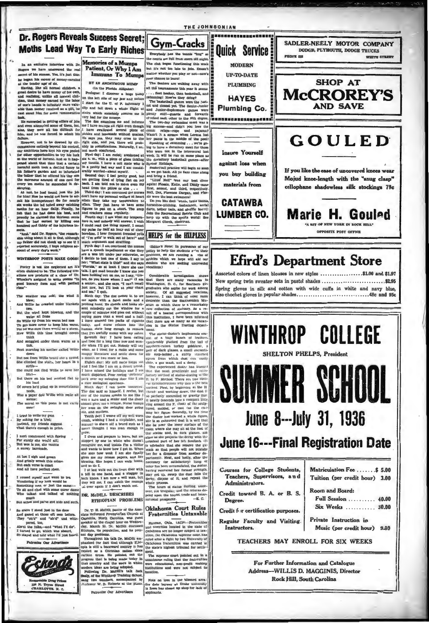

i next communed with Spring<br>for surely she would ald;<br>But woe is me, she vaunts<br>\ snowy barricade.

At last I sigh and green<br>And grimly wreak this crime.<br>But each verse is exact<br>And all have perfect rime.

I roused myself and went to tree.<br>Wondering if my lack would be<br>Something new, or just the same:<br>To sit and chat with some queer do<br>Who talked and talked of notice uch

much<br>ches and pains and kids and such<br> But an

So there I stood just in the door<br>And gazed at those oft seen before.<br>They "oh'd" and "ah'd" and whi So the gazed at pered, too,

and "what I'd do". turned to go, which was absurd,<br>stayed and told what I'd just heard

o Our Advert



DR. McDILL DESCRIBES

Dr. T. H. McDill, pastor of the Associate Reformed Presbyterlan Church at Gastonia, Worth Carolina, was guest speaker at the chapel hour on Wednesday, March 23. Dr. McDill discussed Ethiopia, its population, and its pres-

Trow. The states and prepare to heave, but and the states and, in dark giasses, and apply by one in which who doesn't (erminal part of the retri foreignt). The states and that is apply by the interval the compared to the bleating. Since hopes I can walk nome, receives any (or astillatedry) time<br>and so do I. Tat hast walk out the french door with having recommulated, the dust<br>a bill in one hand, and a stagger in may get up, away the dust i

E C.

## Oklahoma Court Rules **Fraternities Untaxable**

Degree.

Instructors.

 $\begin{tabular}{l|c|c|c|c|c} \hline &\multicolumn{4}{c}{\textbf{a}} &\multicolumn{4}{c}{\textbf{a}} &\multicolumn{4}{c}{\textbf{a}} &\multicolumn{4}{c}{\textbf{a}} &\multicolumn{4}{c}{\textbf{a}} &\multicolumn{4}{c}{\textbf{a}} &\multicolumn{4}{c}{\textbf{a}} &\multicolumn{4}{c}{\textbf{a}} &\multicolumn{4}{c}{\textbf{a}} &\multicolumn{4}{c}{\textbf{a}} &\multicolumn{4}{c}{\textbf{a}} &\multicolumn{4}{c}{\textbf{a}} &\multicolumn{4$ 

## June 8--- July 31, 1936 **June 16---Final Registration Date** Courses for College Students, Matriculation Fee ....... \$ 5.00 Teachers, Supervisors, and Tuition (per credit bour) 3.00 Administrators. Room and Board: Credit toward B. A. or B. S. Full Session .......... 40.00 Six Weeks ........... 30.00 Credit for certification purposes. Private Instruction in Regular Faculty and Visiting.

Music (per credit hour) 9.80

TEACHERS MAY ENROLL FOR SIX WEEKS

For Further Information and Catalogue Address--WILLIS D. MAGGINIS, Director **Rock Hill, South Carolina**